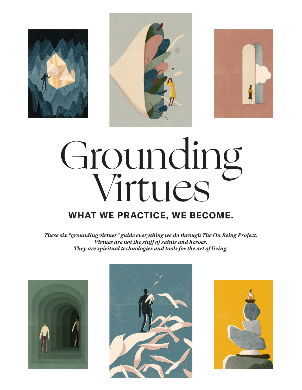





# **WHAT WE PRACTICE, WE BECOME.** Grounding Virtues

*These six "grounding virtues" guide everything we do through The On Being Project. Virtues are not the stuff of saints and heroes. They are spiritual technologies and tools for the art of living.*